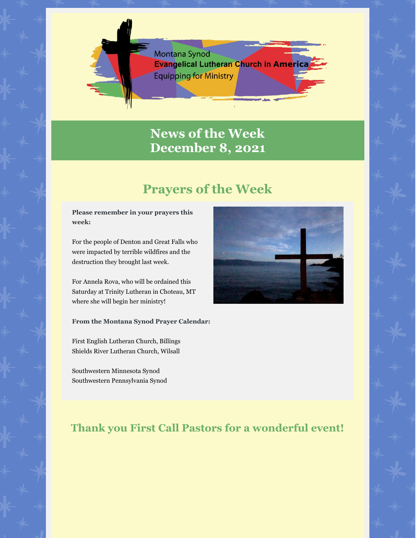

# **News of the Week December 8, 2021**

# **Prayers of the Week**

**Please remember in your prayers this week:**

For the people of Denton and Great Falls who were impacted by terrible wildfires and the destruction they brought last week.

For Annela Rova, who will be ordained this Saturday at Trinity Lutheran in Choteau, MT where she will begin her ministry!

**From the Montana Synod Prayer Calendar:**

First English Lutheran Church, Billings Shields River Lutheran Church, Wilsall

Southwestern Minnesota Synod Southwestern Pennsylvania Synod



## **Thank you First Call Pastors for a wonderful event!**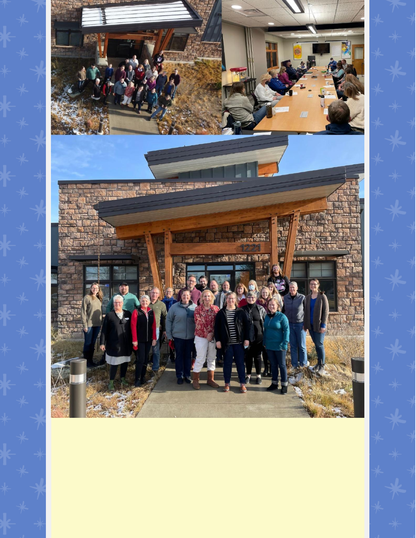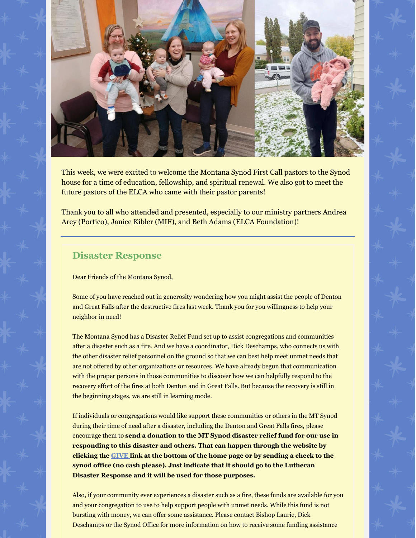

This week, we were excited to welcome the Montana Synod First Call pastors to the Synod house for a time of education, fellowship, and spiritual renewal. We also got to meet the future pastors of the ELCA who came with their pastor parents!

Thank you to all who attended and presented, especially to our ministry partners Andrea Arey (Portico), Janice Kibler (MIF), and Beth Adams (ELCA Foundation)!

#### **Disaster Response**

Dear Friends of the Montana Synod,

Some of you have reached out in generosity wondering how you might assist the people of Denton and Great Falls after the destructive fires last week. Thank you for you willingness to help your neighbor in need!

The Montana Synod has a Disaster Relief Fund set up to assist congregations and communities after a disaster such as a fire. And we have a coordinator, Dick Deschamps, who connects us with the other disaster relief personnel on the ground so that we can best help meet unmet needs that are not offered by other organizations or resources. We have already begun that communication with the proper persons in those communities to discover how we can helpfully respond to the recovery effort of the fires at both Denton and in Great Falls. But because the recovery is still in the beginning stages, we are still in learning mode.

If individuals or congregations would like support these communities or others in the MT Synod during their time of need after a disaster, including the Denton and Great Falls fires, please encourage them to **send a donation to the MT Synod disaster relief fund for our use in responding to this disaster and others. That can happen through the website by clicking the GIVE link at the bottom of the home page or by sending a check to the synod office (no cash please). Just indicate that it should go to the Lutheran Disaster Response and it will be used for those purposes.**

Also, if your community ever experiences a disaster such as a fire, these funds are available for you and your congregation to use to help support people with unmet needs. While this fund is not bursting with money, we can offer some assistance. Please contact Bishop Laurie, Dick Deschamps or the Synod Office for more information on how to receive some funding assistance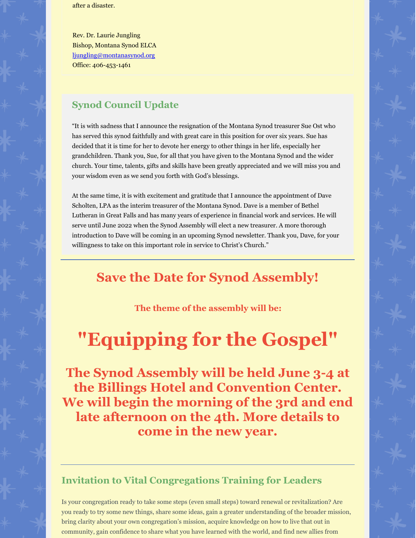after a disaster.

Rev. Dr. Laurie Jungling Bishop, Montana Synod ELCA ljungling@montanasynod.org Office: 406-453-1461

#### **Synod Council Update**

"It is with sadness that I announce the resignation of the Montana Synod treasurer Sue Ost who has served this synod faithfully and with great care in this position for over six years. Sue has decided that it is time for her to devote her energy to other things in her life, especially her grandchildren. Thank you, Sue, for all that you have given to the Montana Synod and the wider church. Your time, talents, gifts and skills have been greatly appreciated and we will miss you and your wisdom even as we send you forth with God's blessings.

At the same time, it is with excitement and gratitude that I announce the appointment of Dave Scholten, LPA as the interim treasurer of the Montana Synod. Dave is a member of Bethel Lutheran in Great Falls and has many years of experience in financial work and services. He will serve until June 2022 when the Synod Assembly will elect a new treasurer. A more thorough introduction to Dave will be coming in an upcoming Synod newsletter. Thank you, Dave, for your willingness to take on this important role in service to Christ's Church."

## **Save the Date for Synod Assembly!**

**The theme of the assembly will be:**

# **"Equipping for the Gospel"**

**The Synod Assembly will be held June 3-4 at the Billings Hotel and Convention Center. We will begin the morning of the 3rd and end late afternoon on the 4th. More details to come in the new year.**

### **Invitation to Vital Congregations Training for Leaders**

Is your congregation ready to take some steps (even small steps) toward renewal or revitalization? Are you ready to try some new things, share some ideas, gain a greater understanding of the broader mission, bring clarity about your own congregation's mission, acquire knowledge on how to live that out in community, gain confidence to share what you have learned with the world, and find new allies from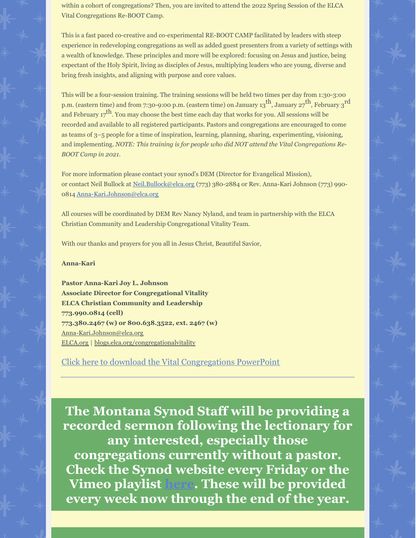within a cohort of congregations? Then, you are invited to attend the 2022 Spring Session of the ELCA Vital Congregations Re-BOOT Camp.

This is a fast paced co-creative and co-experimental RE-BOOT CAMP facilitated by leaders with steep experience in redeveloping congregations as well as added guest presenters from a variety of settings with a wealth of knowledge. These principles and more will be explored: focusing on Jesus and justice, being expectant of the Holy Spirit, living as disciples of Jesus, multiplying leaders who are young, diverse and bring fresh insights, and aligning with purpose and core values.

This will be a four-session training. The training sessions will be held two times per day from 1:30-3:00 p.m. (eastern time) and from 7:30-9:00 p.m. (eastern time) on January 13<sup>th</sup>, January 27<sup>th</sup>, February 3<sup>rd</sup> and February  $17^{\text{th}}$ . You may choose the best time each day that works for you. All sessions will be recorded and available to all registered participants. Pastors and congregations are encouraged to come as teams of 3–5 people for a time of inspiration, learning, planning, sharing, experimenting, visioning, and implementing. *NOTE: This training is for people who did NOT attend the Vital Congregations Re-BOOT Camp in 2021.*

For more information please contact your synod's DEM (Director for Evangelical Mission), or contact Neil Bullock at Neil.Bullock@elca.org (773) 380-2884 or Rev. Anna-Kari Johnson (773) 990- 0814 Anna-Kari.Johnson@elca.org

All courses will be coordinated by DEM Rev Nancy Nyland, and team in partnership with the ELCA Christian Community and Leadership Congregational Vitality Team.

With our thanks and prayers for you all in Jesus Christ, Beautiful Savior,

#### **Anna-Kari**

**Pastor Anna-Kari Joy L. Johnson Associate Director for Congregational Vitality ELCA Christian Community and Leadership 773.990.0814 (cell) 773.380.2467 (w) or 800.638.3522, ext. 2467 (w)** Anna-Kari.Johnson@elca.org ELCA.org | blogs.elca.org/congregationalvitality

Click here to download the Vital Congregations PowerPoint

**The Montana Synod Staff will be providing a recorded sermon following the lectionary for any interested, especially those congregations currently without a pastor. Check the Synod website every Friday or the Vimeo playlist here. These will be provided every week now through the end of the year.**